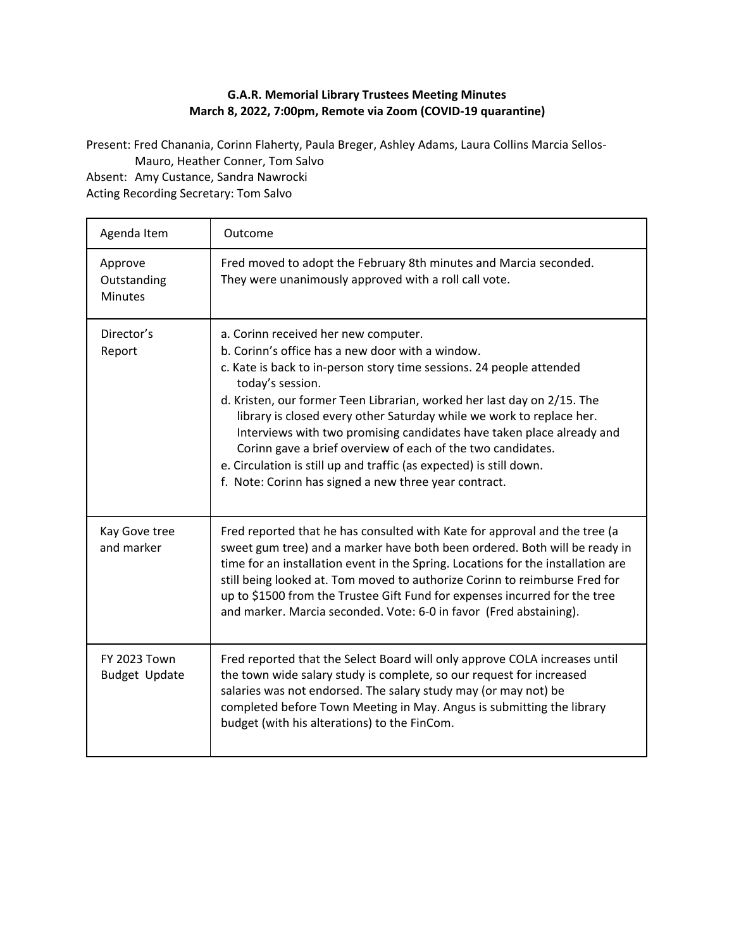## **G.A.R. Memorial Library Trustees Meeting Minutes March 8, 2022, 7:00pm, Remote via Zoom (COVID-19 quarantine)**

Present: Fred Chanania, Corinn Flaherty, Paula Breger, Ashley Adams, Laura Collins Marcia Sellos-Mauro, Heather Conner, Tom Salvo

Absent: Amy Custance, Sandra Nawrocki Acting Recording Secretary: Tom Salvo

| Agenda Item                                 | Outcome                                                                                                                                                                                                                                                                                                                                                                                                                                                                                                                                                                                                         |
|---------------------------------------------|-----------------------------------------------------------------------------------------------------------------------------------------------------------------------------------------------------------------------------------------------------------------------------------------------------------------------------------------------------------------------------------------------------------------------------------------------------------------------------------------------------------------------------------------------------------------------------------------------------------------|
| Approve<br>Outstanding<br><b>Minutes</b>    | Fred moved to adopt the February 8th minutes and Marcia seconded.<br>They were unanimously approved with a roll call vote.                                                                                                                                                                                                                                                                                                                                                                                                                                                                                      |
| Director's<br>Report                        | a. Corinn received her new computer.<br>b. Corinn's office has a new door with a window.<br>c. Kate is back to in-person story time sessions. 24 people attended<br>today's session.<br>d. Kristen, our former Teen Librarian, worked her last day on 2/15. The<br>library is closed every other Saturday while we work to replace her.<br>Interviews with two promising candidates have taken place already and<br>Corinn gave a brief overview of each of the two candidates.<br>e. Circulation is still up and traffic (as expected) is still down.<br>f. Note: Corinn has signed a new three year contract. |
| Kay Gove tree<br>and marker                 | Fred reported that he has consulted with Kate for approval and the tree (a<br>sweet gum tree) and a marker have both been ordered. Both will be ready in<br>time for an installation event in the Spring. Locations for the installation are<br>still being looked at. Tom moved to authorize Corinn to reimburse Fred for<br>up to \$1500 from the Trustee Gift Fund for expenses incurred for the tree<br>and marker. Marcia seconded. Vote: 6-0 in favor (Fred abstaining).                                                                                                                                  |
| <b>FY 2023 Town</b><br><b>Budget Update</b> | Fred reported that the Select Board will only approve COLA increases until<br>the town wide salary study is complete, so our request for increased<br>salaries was not endorsed. The salary study may (or may not) be<br>completed before Town Meeting in May. Angus is submitting the library<br>budget (with his alterations) to the FinCom.                                                                                                                                                                                                                                                                  |